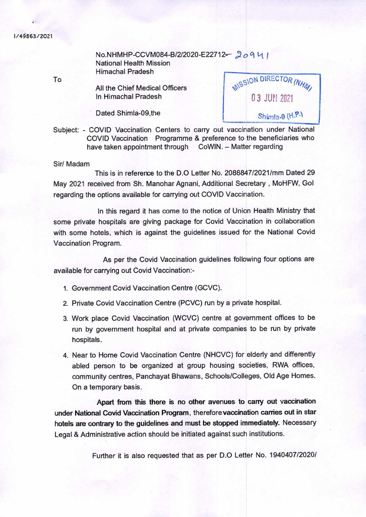## i/4863/2021

No.NHMHP-CCVM084-B/2/2020-E22712-20941 National Health Mission Himachal Pradesh

All the Chief Medical Officers In Himachal Pradesh

Dated Shimla-09,the

MISSION DIRECTOR (NHM) 03 JUfl 2q21  $Shimla.9$   $(H.P.)$ 

Subject: - COVID Vaccination Centers to carry out vaccination under National COVID Vaccination Programme & preference to the beneficiaries who have taken appointment through CoWIN. - Matter regarding

## Sir! Madam

This is in reference to the D.O Letter No. 2088847/2021/mm Dated 29 May 2021 received from Sh. Manohar Agnani, Additional Secretary, MoHFW, Gol regarding the options available for carrying out COVID Vaccination.

In this regard it has come to the notice of Union Health Ministry that some private hospitals are giving package for Covid Vaccination in collaboration with some hotels, which is against the guidelines issued for the National Covid Vaccination Program.

As per the Covid Vaccination guidelines following four options are available for carrying out Covid Vaccination:-

- 1. Government Covid Vaccination Centre (GCVC).
- 2. Private Covid Vaccination Centre (PCVC) run by a private hospital.
- 3. Work place Covid Vaccination (WCVC) centre at government offices to be run by government hospital and at private companies to be run by private hospitals.
- 4. Near to Home Covid Vaccination Centre (NHCVC) for elderly and differently abled person to be organized at group housing societies, RWA offices, community centres, Panchayat Bhawans, Schools/Colleges, Old Age Homes. On a temporary basis.

**Apart from this there is no other avenues to carry out vaccination under National Covid Vaccination Program,** therefore **vaccination canies out in star hotels are contrary to the guidelines and must be stopped immediately.** Necessary Legal & Administrative action should be initiated against such institutions.

Further it is also requested that as per D.O Letter No. 1940407/2020/

To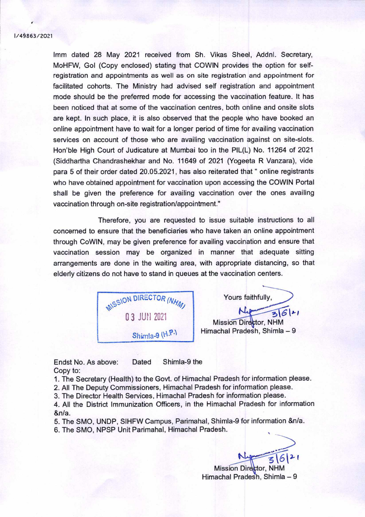## I/4863/2O21

1mm dated 28 May 2021 received from Sh. Vikas Sheel, Addnl. Secretary, MoHFW, Gal (Copy enclosed) stating that COWIN provides the option for selfregistration and appointments as well as on site registration and appointment for facilitated cohorts. The Ministry had advised self registration and appointment mode should be the preferred mode for accessing the vaccination feature. It has been noticed that at some of the vaccination centres, both online and onsite slots are kept. In such place, it is also observed that the people who have booked an online appointment have to wait for a longer period of time for availing vaccination services on account of those who are availing vaccination against on site-slots. Hon'ble High Court of Judicature at Mumbai too in the PIL(L) No. 11264 of 2021 (Siddhartha Chandrashekhar and No. 11649 of 2021 (Yogeeta R Vanzara), vide para 5 of their order dated 20.05.2021, has also reiterated that " online registrants who have obtained appointment for vaccination upon accessing the COWIN Portal shall be given the preference for availing vaccination over the ones availing vaccination through on-site registration/appointment."

Therefore, you are requested to issue suitable instructions to all concerned to ensure that the beneficiaries who have taken an online appointment through CoWlN, may be given preference for availing vaccination and ensure that vaccination session may be organized in manner that adequate sitting arrangements are done in the waiting area, with appropriate distancing, so that elderly citizens do not have to stand in queues at the vaccination centers.

MISSION DIRECTOR (NHM) 03 JUN 2Q21 Shimla-9 (H.P.)

Yours faithfully,  $N_{4}$  3/6/21 Mission Director, NHM

Himachal Pradesh, Shimla — 9

Endst No. As above: Dated Shimla-9 the Copy to:

1. The Secretary (Health) to the Govt. of Himachal Pradesh for information please.

2. All The Deputy Commissioners, Himachal Pradesh for information please.

3. The Director Health Services, Himachal Pradesh for information please.

4. All the District Immunization Officers, in the Himachal Pradesh for information &n/a.

5. The SMO. UNDP, SIHFW Campus, Parimahal, Shimla-9 for information &n/a. 6. The SMO, NPSP Unit Parimahal, Himachal Pradesh.

Mission Director, NHM Himachal Pradesh, Shimla — 9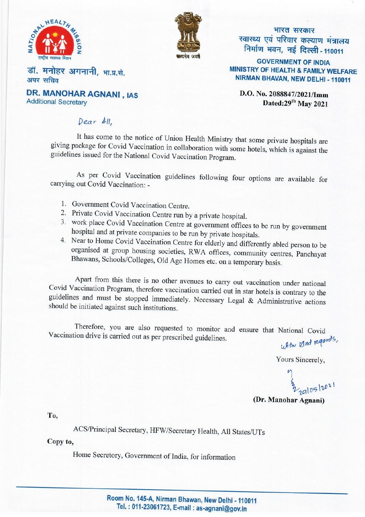



भारत सरकार स्वास्थ्य एवं परिवार कल्याण मंत्रालय निर्माण भवन, नई दिल्ली - 110011

**GOVERNMENT OF INDIA MINISTRY OF HEALTH & FAMILY WELFARE** NIRMAN BHAVAN, NEW DELHI - 110011

डॉ. मनोहर अगनानी, भा.प्र.से. अपर सचिव **DR. MANOHAR AGNANI, IAS** 

**Additional Secretary** 

D.O. No. 2088847/2021/Imm Dated: 29<sup>th</sup> May 2021

## Dear All.

It has come to the notice of Union Health Ministry that some private hospitals are giving package for Covid Vaccination in collaboration with some hotels, which is against the guidelines issued for the National Covid Vaccination Program.

As per Covid Vaccination guidelines following four options are available for carrying out Covid Vaccination: -

- 1. Government Covid Vaccination Centre.
- 2. Private Covid Vaccination Centre run by a private hospital.
- 3. work place Covid Vaccination Centre at government offices to be run by government hospital and at private companies to be run by private hospitals.
- 4. Near to Home Covid Vaccination Centre for elderly and differently abled person to be organised at group housing societies, RWA offices, community centres, Panchayat Bhawans, Schools/Colleges, Old Age Homes etc. on a temporary basis.

Apart from this there is no other avenues to carry out vaccination under national Covid Vaccination Program, therefore vaccination carried out in star hotels is contrary to the guidelines and must be stopped immediately. Necessary Legal & Administrative actions should be initiated against such institutions.

Therefore, you are also requested to monitor and ensure that National Covid Vaccination drive is carried out as per prescribed guidelines. with bind regards,

Yours Sincerely,

32 20105/2021

(Dr. Manohar Agnani)

To.

ACS/Principal Secretary, HFW/Secretary Health, All States/UTs

Copy to,

Home Secretory, Government of India, for information